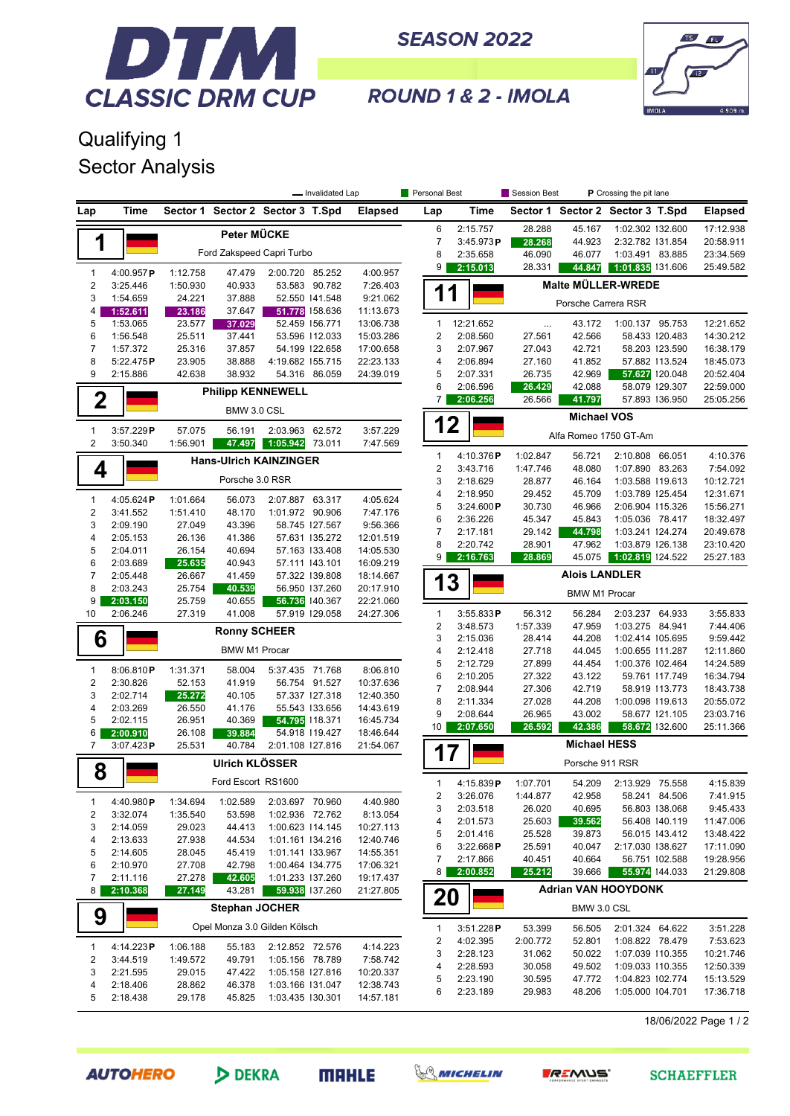

**SEASON 2022** 



ROUND 1 & 2 - IMOLA

## Qualifying 1 Sector Analysis

|                            |                                                              | - Invalidated Lap            |                      |                                    |                                  |                        | Personal Best   |                             | Session Best<br>P Crossing the pit lane |                      |                                     |                                  |                        |
|----------------------------|--------------------------------------------------------------|------------------------------|----------------------|------------------------------------|----------------------------------|------------------------|-----------------|-----------------------------|-----------------------------------------|----------------------|-------------------------------------|----------------------------------|------------------------|
| Lap                        | Time                                                         |                              |                      | Sector 1 Sector 2 Sector 3 T.Spd   |                                  | <b>Elapsed</b>         | Lap             | Time                        |                                         |                      | Sector 1 Sector 2 Sector 3 T.Spd    |                                  | <b>Elapsed</b>         |
|                            |                                                              |                              | Peter MÜCKE          |                                    |                                  |                        | 6               | 2:15.757                    | 28.288                                  | 45.167               | 1:02.302 132.600                    |                                  | 17:12.938              |
| 1                          |                                                              |                              |                      |                                    |                                  |                        | $\overline{7}$  | 3:45.973P                   | 28.268                                  | 44.923               | 2:32.782 131.854                    |                                  | 20:58.911              |
|                            |                                                              |                              |                      | Ford Zakspeed Capri Turbo          |                                  |                        | 8               | 2:35.658                    | 46.090                                  | 46.077               | 1:03.491 83.885                     |                                  | 23:34.569              |
| 1                          | 4:00.957P                                                    | 1:12.758                     | 47.479               | 2:00.720 85.252                    |                                  | 4:00.957               | 9               | 2:15.013                    | 28.331                                  | 44.847               | 1:01.835 131.606                    |                                  | 25:49.582              |
| $\overline{\mathbf{c}}$    | 3:25.446                                                     | 1:50.930                     | 40.933               |                                    | 53.583 90.782                    | 7:26.403               |                 |                             |                                         |                      | <b>Malte MÜLLER-WREDE</b>           |                                  |                        |
| 3                          | 1:54.659                                                     | 24.221                       | 37.888               |                                    | 52.550 141.548                   | 9:21.062               | 11              |                             |                                         | Porsche Carrera RSR  |                                     |                                  |                        |
| 4                          | 1:52.611                                                     | 23.186                       | 37.647               |                                    | 51.778 158.636                   | 11:13.673              |                 |                             |                                         |                      |                                     |                                  |                        |
| 5                          | 1:53.065                                                     | 23.577                       | 37.029               |                                    | 52.459 156.771                   | 13:06.738              | $\mathbf{1}$    | 12:21.652                   | $\cdots$                                | 43.172               | 1:00.137 95.753                     |                                  | 12:21.652              |
| 6                          | 1:56.548                                                     | 25.511                       | 37.441               |                                    | 53.596 112.033                   | 15:03.286              | 2               | 2:08.560                    | 27.561                                  | 42.566               |                                     | 58.433 120.483                   | 14:30.212              |
| $\boldsymbol{7}$           | 1:57.372                                                     | 25.316                       | 37.857               |                                    | 54.199 122.658                   | 17:00.658              | 3               | 2:07.967                    | 27.043                                  | 42.721               |                                     | 58.203 123.590                   | 16:38.179              |
| 8<br>9                     | 5:22.475P<br>2:15.886                                        | 23.905<br>42.638             | 38.888<br>38.932     | 4:19.682 155.715                   | 54.316 86.059                    | 22:23.133<br>24:39.019 | 4<br>5          | 2:06.894<br>2:07.331        | 27.160<br>26.735                        | 41.852<br>42.969     |                                     | 57.882 113.524<br>57.627 120.048 | 18:45.073<br>20:52.404 |
|                            |                                                              |                              |                      |                                    |                                  |                        | 6               | 2:06.596                    | 26.429                                  | 42.088               |                                     | 58.079 129.307                   | 22:59.000              |
| $\mathbf 2$                |                                                              |                              |                      | <b>Philipp KENNEWELL</b>           |                                  |                        | $\overline{7}$  | 2:06.256                    | 26.566                                  | 41.797               |                                     | 57.893 136.950                   | 25:05.256              |
|                            | BMW 3.0 CSL                                                  |                              |                      |                                    |                                  |                        |                 |                             |                                         | <b>Michael VOS</b>   |                                     |                                  |                        |
| 1                          | 3:57.229P<br>57.075<br>2:03.963 62.572<br>3:57.229<br>56.191 |                              |                      |                                    |                                  |                        |                 | 12<br>Alfa Romeo 1750 GT-Am |                                         |                      |                                     |                                  |                        |
| 2                          | 3:50.340                                                     | 1:56.901                     | 47.497               | 1:05.942                           | 73.011                           | 7:47.569               |                 |                             |                                         |                      |                                     |                                  |                        |
|                            |                                                              |                              |                      | <b>Hans-Ulrich KAINZINGER</b>      |                                  |                        | $\mathbf{1}$    | 4:10.376P                   | 1:02.847                                | 56.721               | 2:10.808 66.051                     |                                  | 4:10.376               |
| 4                          |                                                              |                              |                      |                                    |                                  |                        | $\overline{2}$  | 3:43.716                    | 1:47.746                                | 48.080               | 1:07.890 83.263                     |                                  | 7:54.092               |
|                            |                                                              |                              | Porsche 3.0 RSR      |                                    |                                  |                        | 3               | 2:18.629                    | 28.877                                  | 46.164               | 1:03.588 119.613                    |                                  | 10:12.721              |
| 1                          | 4:05.624P                                                    | 1:01.664                     | 56.073               | 2:07.887 63.317                    |                                  | 4:05.624               | 4               | 2:18.950                    | 29.452                                  | 45.709               | 1:03.789 125.454                    |                                  | 12:31.671              |
| $\sqrt{2}$                 | 3:41.552                                                     | 1:51.410                     | 48.170               | 1:01.972 90.906                    |                                  | 7:47.176               | 5<br>6          | 3:24.600P                   | 30.730<br>45.347                        | 46.966               | 2:06.904 115.326                    |                                  | 15:56.271              |
| 3                          | 2:09.190                                                     | 27.049                       | 43.396               |                                    | 58.745 127.567                   | 9:56.366               | 7               | 2:36.226<br>2:17.181        | 29.142                                  | 45.843<br>44.798     | 1:05.036 78.417<br>1:03.241 124.274 |                                  | 18:32.497<br>20:49.678 |
| 4                          | 2:05.153                                                     | 26.136                       | 41.386               |                                    | 57.631 135.272                   | 12:01.519              | 8               | 2:20.742                    | 28.901                                  | 47.962               | 1:03.879 126.138                    |                                  | 23:10.420              |
| 5                          | 2:04.011                                                     | 26.154                       | 40.694               |                                    | 57.163 133.408                   | 14:05.530              | 9               | 2:16.763                    | 28.869                                  | 45.075               | 1:02.819 124.522                    |                                  | 25:27.183              |
| 6                          | 2:03.689                                                     | 25.635                       | 40.943               |                                    | 57.111 143.101                   | 16:09.219              |                 |                             |                                         |                      |                                     |                                  |                        |
| $\overline{7}$             | 2:05.448                                                     | 26.667                       | 41.459               |                                    | 57.322 139.808                   | 18:14.667              | 13              |                             |                                         | <b>Alois LANDLER</b> |                                     |                                  |                        |
| 8                          | 2:03.243                                                     | 25.754                       | 40.539               |                                    | 56.950 137.260                   | 20:17.910              |                 |                             |                                         | <b>BMW M1 Procar</b> |                                     |                                  |                        |
| 9<br>10                    | 2:03.150<br>2:06.246                                         | 25.759<br>27.319             | 40.655<br>41.008     |                                    | 56.736 140.367                   | 22:21.060              | 1               | 3:55.833P                   | 56.312                                  | 56.284               | 2:03.237 64.933                     |                                  | 3:55.833               |
|                            |                                                              |                              |                      |                                    | 57.919 129.058                   | 24:27.306              | 2               | 3:48.573                    | 1:57.339                                | 47.959               | 1:03.275 84.941                     |                                  | 7:44.406               |
| 6                          |                                                              |                              | <b>Ronny SCHEER</b>  |                                    |                                  |                        | 3               | 2:15.036                    | 28.414                                  | 44.208               | 1:02.414 105.695                    |                                  | 9:59.442               |
|                            |                                                              |                              | <b>BMW M1 Procar</b> |                                    |                                  |                        | 4               | 2:12.418                    | 27.718                                  | 44.045               | 1:00.655 111.287                    |                                  | 12:11.860              |
|                            |                                                              |                              |                      |                                    |                                  |                        | 5               | 2:12.729                    | 27.899                                  | 44.454               | 1:00.376 102.464                    |                                  | 14:24.589              |
| $\mathbf{1}$               | 8:06.810P                                                    | 1:31.371                     | 58.004               | 5:37.435 71.768                    |                                  | 8:06.810               | 6               | 2:10.205                    | 27.322                                  | 43.122               |                                     | 59.761 17.749                    | 16:34.794              |
| $\overline{\mathbf{c}}$    | 2:30.826                                                     | 52.153                       | 41.919               |                                    | 56.754 91.527                    | 10:37.636              | $\overline{7}$  | 2:08.944                    | 27.306                                  | 42.719               |                                     | 58.919 113.773                   | 18:43.738              |
| 3<br>4                     | 2:02.714<br>2:03.269                                         | 25.272<br>26.550             | 40.105<br>41.176     |                                    | 57.337 127.318<br>55.543 133.656 | 12:40.350<br>14:43.619 | 8               | 2:11.334                    | 27.028                                  | 44.208               | 1:00.098 119.613                    |                                  | 20:55.072              |
| 5                          | 2:02.115                                                     | 26.951                       | 40.369               |                                    | 54.795 118.371                   | 16:45.734              | 9               | 2:08.644                    | 26.965                                  | 43.002               |                                     | 58.677 121.105                   | 23:03.716              |
| 6                          | 2:00.910                                                     | 26.108                       | 39.884               |                                    | 54.918 119.427                   | 18:46.644              | 10 <sup>1</sup> | 2:07.650                    | 26.592                                  | 42.386               |                                     | 58.672 132.600                   | 25:11.366              |
| 7                          | 3:07.423P                                                    | 25.531                       | 40.784               | 2:01.108 127.816                   |                                  | 21:54.067              |                 |                             |                                         | <b>Michael HESS</b>  |                                     |                                  |                        |
| <b>Ulrich KLÖSSER</b><br>8 |                                                              |                              |                      |                                    |                                  |                        |                 | 7                           |                                         | Porsche 911 RSR      |                                     |                                  |                        |
|                            |                                                              |                              | Ford Escort RS1600   |                                    |                                  |                        | 1               | 4:15.839P                   | 1:07.701                                | 54.209               | 2:13.929 75.558                     |                                  | 4:15.839               |
| 1                          | 4:40.980P                                                    |                              | 1:02.589             |                                    |                                  | 4:40.980               | 2               | 3:26.076                    | 1:44.877                                | 42.958               |                                     | 58.241 84.506                    | 7:41.915               |
| 2                          | 3:32.074                                                     | 1:34.694<br>1:35.540         | 53.598               | 2:03.697 70.960<br>1:02.936 72.762 |                                  | 8:13.054               | 3               | 2:03.518                    | 26.020                                  | 40.695               |                                     | 56.803 138.068                   | 9:45.433               |
| 3                          | 2:14.059                                                     | 29.023                       | 44.413               | 1:00.623 114.145                   |                                  | 10:27.113              | 4               | 2:01.573                    | 25.603                                  | 39.562               |                                     | 56.408 140.119                   | 11:47.006              |
| 4                          | 2:13.633                                                     | 27.938                       | 44.534               | 1:01.161 134.216                   |                                  | 12:40.746              | 5               | 2:01.416                    | 25.528                                  | 39.873               |                                     | 56.015 143.412                   | 13:48.422              |
| 5                          | 2:14.605                                                     | 28.045                       | 45.419               | 1:01.141 133.967                   |                                  | 14:55.351              | 6               | 3:22.668P                   | 25.591                                  | 40.047               | 2:17.030 138.627                    |                                  | 17:11.090              |
| 6                          | 2:10.970                                                     | 27.708                       | 42.798               | 1:00.464 134.775                   |                                  | 17:06.321              | 7               | 2:17.866                    | 40.451                                  | 40.664               |                                     | 56.751 102.588                   | 19:28.956              |
| 7                          | 2:11.116                                                     | 27.278                       | 42.605               | 1:01.233 137.260                   |                                  | 19:17.437              | 8 <sup>1</sup>  | 2:00.852                    | 25.212                                  | 39.666               |                                     | 55.974 144.033                   | 21:29.808              |
| 8                          | 2:10.368                                                     | 27.149                       | 43.281               |                                    | 59.938 137.260                   | 21:27.805              | 20              |                             |                                         |                      | <b>Adrian VAN HOOYDONK</b>          |                                  |                        |
| <b>Stephan JOCHER</b><br>9 |                                                              |                              |                      |                                    |                                  |                        |                 |                             |                                         | BMW 3.0 CSL          |                                     |                                  |                        |
|                            |                                                              | Opel Monza 3.0 Gilden Kölsch |                      |                                    |                                  |                        |                 | 3:51.228P                   | 53.399                                  | 56.505               | 2:01.324 64.622                     |                                  | 3:51.228               |
| 1                          | 4:14.223P                                                    | 1:06.188                     | 55.183               | 2:12.852 72.576                    |                                  | 4:14.223               | 2               | 4:02.395                    | 2:00.772                                | 52.801               | 1:08.822 78.479                     |                                  | 7:53.623               |
| $\overline{\mathbf{c}}$    | 3:44.519                                                     | 1:49.572                     | 49.791               | 1:05.156 78.789                    |                                  | 7:58.742               | 3               | 2:28.123                    | 31.062                                  | 50.022               | 1:07.039 110.355                    |                                  | 10:21.746              |
| 3                          | 2:21.595                                                     | 29.015                       | 47.422               | 1:05.158 127.816                   |                                  | 10:20.337              | 4               | 2:28.593                    | 30.058                                  | 49.502               | 1:09.033 110.355                    |                                  | 12:50.339              |
| 4                          | 2:18.406                                                     | 28.862                       | 46.378               | 1:03.166 131.047                   |                                  | 12:38.743              | 5               | 2:23.190                    | 30.595                                  | 47.772               | 1:04.823 102.774                    |                                  | 15:13.529              |
| 5                          | 2:18.438                                                     | 29.178                       | 45.825               | 1:03.435 130.301                   |                                  | 14:57.181              | 6               | 2:23.189                    | 29.983                                  | 48.206               | 1:05.000 104.701                    |                                  | 17:36.718              |
|                            |                                                              |                              |                      |                                    |                                  |                        |                 |                             |                                         |                      |                                     |                                  |                        |

18/06/2022 Page 1 / 2